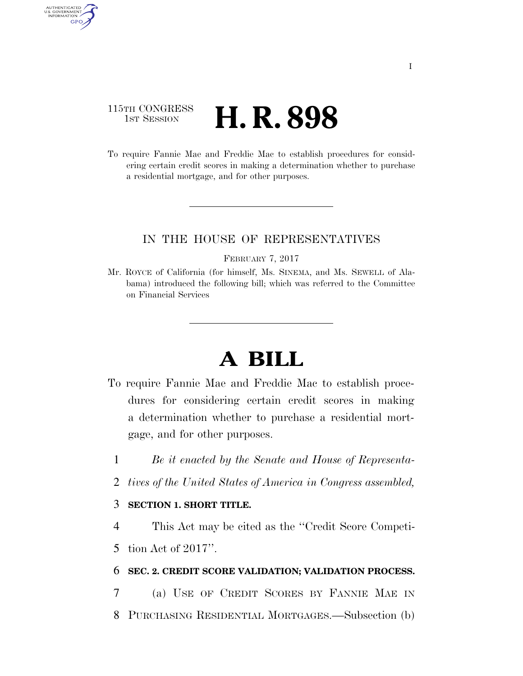### 115TH CONGRESS **1st Session H. R. 898**

AUTHENTICATED U.S. GOVERNMENT GPO

> To require Fannie Mae and Freddie Mac to establish procedures for considering certain credit scores in making a determination whether to purchase a residential mortgage, and for other purposes.

#### IN THE HOUSE OF REPRESENTATIVES

#### FEBRUARY 7, 2017

Mr. ROYCE of California (for himself, Ms. SINEMA, and Ms. SEWELL of Alabama) introduced the following bill; which was referred to the Committee on Financial Services

# **A BILL**

- To require Fannie Mae and Freddie Mac to establish procedures for considering certain credit scores in making a determination whether to purchase a residential mortgage, and for other purposes.
	- 1 *Be it enacted by the Senate and House of Representa-*
	- 2 *tives of the United States of America in Congress assembled,*

#### 3 **SECTION 1. SHORT TITLE.**

4 This Act may be cited as the ''Credit Score Competi-

5 tion Act of 2017''.

#### 6 **SEC. 2. CREDIT SCORE VALIDATION; VALIDATION PROCESS.**

7 (a) USE OF CREDIT SCORES BY FANNIE MAE IN

8 PURCHASING RESIDENTIAL MORTGAGES.—Subsection (b)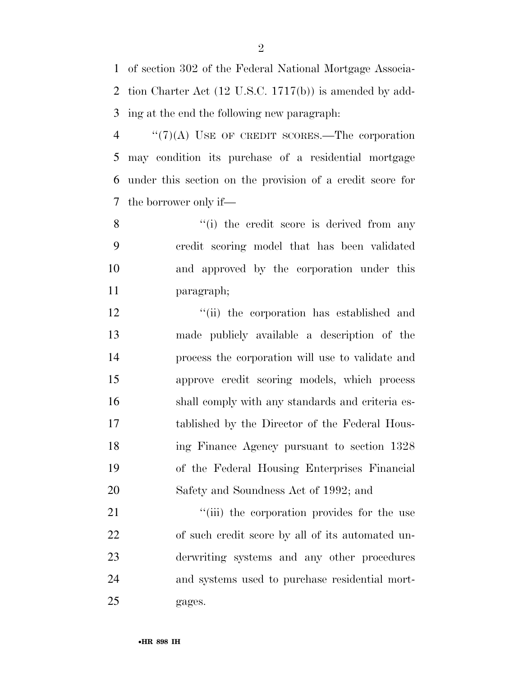of section 302 of the Federal National Mortgage Associa- tion Charter Act (12 U.S.C. 1717(b)) is amended by add-ing at the end the following new paragraph:

 ''(7)(A) USE OF CREDIT SCORES.—The corporation may condition its purchase of a residential mortgage under this section on the provision of a credit score for the borrower only if—

8 ''(i) the credit score is derived from any credit scoring model that has been validated and approved by the corporation under this paragraph;

12 "(ii) the corporation has established and made publicly available a description of the process the corporation will use to validate and approve credit scoring models, which process shall comply with any standards and criteria es- tablished by the Director of the Federal Hous- ing Finance Agency pursuant to section 1328 of the Federal Housing Enterprises Financial Safety and Soundness Act of 1992; and

 $\frac{1}{1}$  the corporation provides for the use of such credit score by all of its automated un- derwriting systems and any other procedures and systems used to purchase residential mort-gages.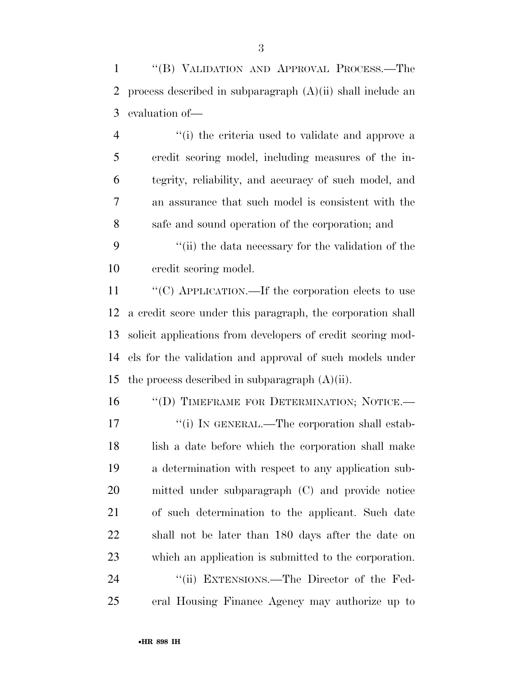''(B) VALIDATION AND APPROVAL PROCESS.—The process described in subparagraph (A)(ii) shall include an evaluation of—

4 ''(i) the criteria used to validate and approve a credit scoring model, including measures of the in- tegrity, reliability, and accuracy of such model, and an assurance that such model is consistent with the safe and sound operation of the corporation; and

 ''(ii) the data necessary for the validation of the credit scoring model.

 ''(C) APPLICATION.—If the corporation elects to use a credit score under this paragraph, the corporation shall solicit applications from developers of credit scoring mod- els for the validation and approval of such models under 15 the process described in subparagraph  $(A)(ii)$ .

16 "(D) TIMEFRAME FOR DETERMINATION; NOTICE.— 17 <sup>"</sup>(i) IN GENERAL.—The corporation shall estab- lish a date before which the corporation shall make a determination with respect to any application sub- mitted under subparagraph (C) and provide notice of such determination to the applicant. Such date shall not be later than 180 days after the date on which an application is submitted to the corporation. 24 "(ii) EXTENSIONS.—The Director of the Fed-

eral Housing Finance Agency may authorize up to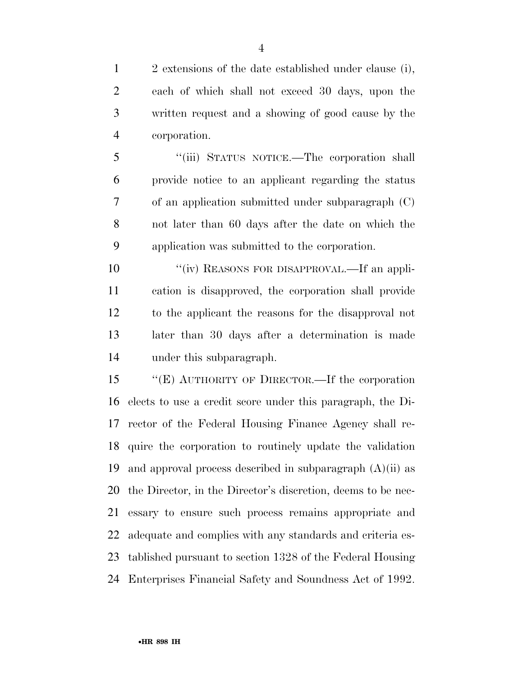2 extensions of the date established under clause (i), each of which shall not exceed 30 days, upon the written request and a showing of good cause by the corporation.

 ''(iii) STATUS NOTICE.—The corporation shall provide notice to an applicant regarding the status of an application submitted under subparagraph (C) not later than 60 days after the date on which the application was submitted to the corporation.

 $\frac{u'(\text{iv})}{v}$  REASONS FOR DISAPPROVAL.—If an appli- cation is disapproved, the corporation shall provide to the applicant the reasons for the disapproval not later than 30 days after a determination is made under this subparagraph.

 ''(E) AUTHORITY OF DIRECTOR.—If the corporation elects to use a credit score under this paragraph, the Di- rector of the Federal Housing Finance Agency shall re- quire the corporation to routinely update the validation 19 and approval process described in subparagraph  $(A)(ii)$  as the Director, in the Director's discretion, deems to be nec- essary to ensure such process remains appropriate and adequate and complies with any standards and criteria es- tablished pursuant to section 1328 of the Federal Housing Enterprises Financial Safety and Soundness Act of 1992.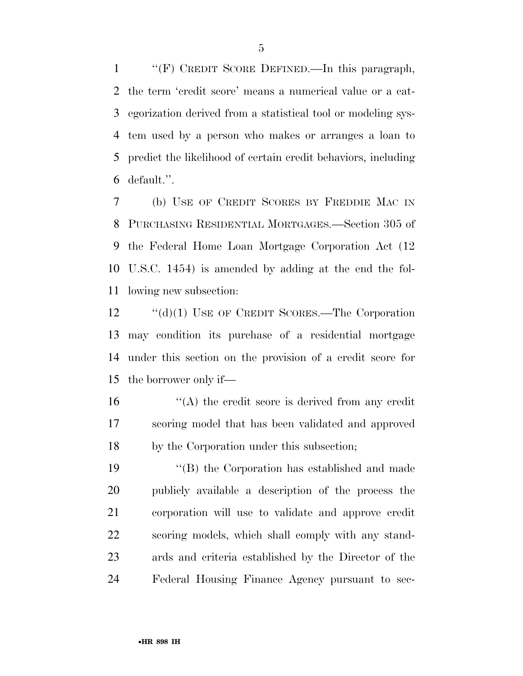''(F) CREDIT SCORE DEFINED.—In this paragraph, the term 'credit score' means a numerical value or a cat- egorization derived from a statistical tool or modeling sys- tem used by a person who makes or arranges a loan to predict the likelihood of certain credit behaviors, including default.''.

 (b) USE OF CREDIT SCORES BY FREDDIE MAC IN PURCHASING RESIDENTIAL MORTGAGES.—Section 305 of the Federal Home Loan Mortgage Corporation Act (12 U.S.C. 1454) is amended by adding at the end the fol-lowing new subsection:

12 "(d)(1) USE OF CREDIT SCORES.—The Corporation may condition its purchase of a residential mortgage under this section on the provision of a credit score for the borrower only if—

 $\mathcal{L}(\mathbf{A})$  the credit score is derived from any credit scoring model that has been validated and approved by the Corporation under this subsection;

 ''(B) the Corporation has established and made publicly available a description of the process the corporation will use to validate and approve credit scoring models, which shall comply with any stand- ards and criteria established by the Director of the Federal Housing Finance Agency pursuant to sec-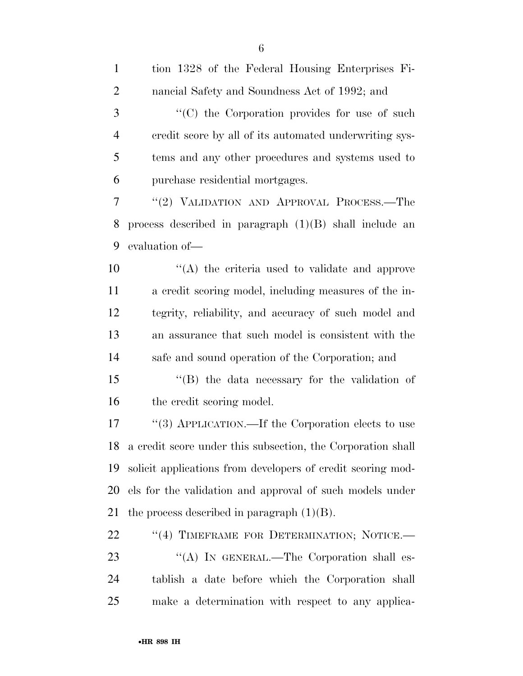| $\mathbf{1}$   | tion 1328 of the Federal Housing Enterprises Fi-            |
|----------------|-------------------------------------------------------------|
| $\overline{2}$ | nancial Safety and Soundness Act of 1992; and               |
| 3              | "(C) the Corporation provides for use of such               |
| $\overline{4}$ | credit score by all of its automated underwriting sys-      |
| 5              | tems and any other procedures and systems used to           |
| 6              | purchase residential mortgages.                             |
| 7              | "(2) VALIDATION AND APPROVAL PROCESS.—The                   |
| 8              | process described in paragraph $(1)(B)$ shall include an    |
| 9              | evaluation of-                                              |
| 10             | "(A) the criteria used to validate and approve              |
| 11             | a credit scoring model, including measures of the in-       |
| 12             | tegrity, reliability, and accuracy of such model and        |
| 13             | an assurance that such model is consistent with the         |
| 14             | safe and sound operation of the Corporation; and            |
| 15             | "(B) the data necessary for the validation of               |
| 16             | the credit scoring model.                                   |
| 17             | "(3) APPLICATION.—If the Corporation elects to use          |
| 18             | a credit score under this subsection, the Corporation shall |
| 19             | solicit applications from developers of credit scoring mod- |
| 20             | els for the validation and approval of such models under    |
| 21             | the process described in paragraph $(1)(B)$ .               |
| 22             | "(4) TIMEFRAME FOR DETERMINATION; NOTICE.-                  |
| 23             | "(A) IN GENERAL.—The Corporation shall es-                  |
| 24             | tablish a date before which the Corporation shall           |
| 25             | make a determination with respect to any applica-           |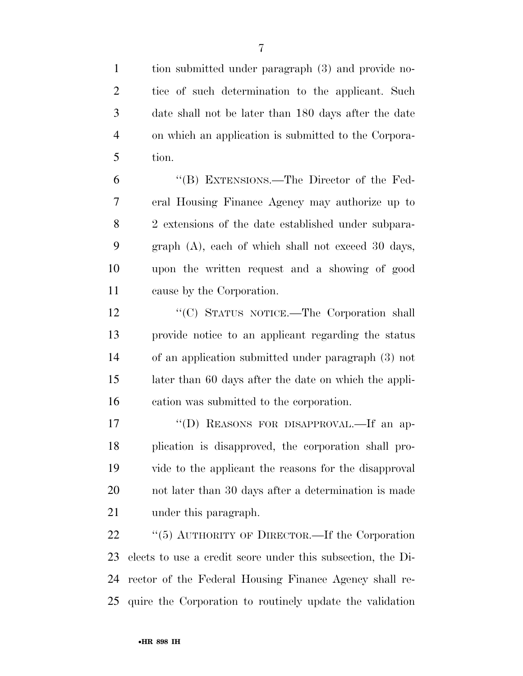tion submitted under paragraph (3) and provide no- tice of such determination to the applicant. Such date shall not be later than 180 days after the date on which an application is submitted to the Corpora-tion.

 ''(B) EXTENSIONS.—The Director of the Fed- eral Housing Finance Agency may authorize up to 2 extensions of the date established under subpara- graph (A), each of which shall not exceed 30 days, upon the written request and a showing of good cause by the Corporation.

12 "(C) STATUS NOTICE.—The Corporation shall provide notice to an applicant regarding the status of an application submitted under paragraph (3) not later than 60 days after the date on which the appli-cation was submitted to the corporation.

17 "(D) REASONS FOR DISAPPROVAL.—If an ap- plication is disapproved, the corporation shall pro- vide to the applicant the reasons for the disapproval not later than 30 days after a determination is made 21 under this paragraph.

22 "(5) AUTHORITY OF DIRECTOR.—If the Corporation elects to use a credit score under this subsection, the Di- rector of the Federal Housing Finance Agency shall re-quire the Corporation to routinely update the validation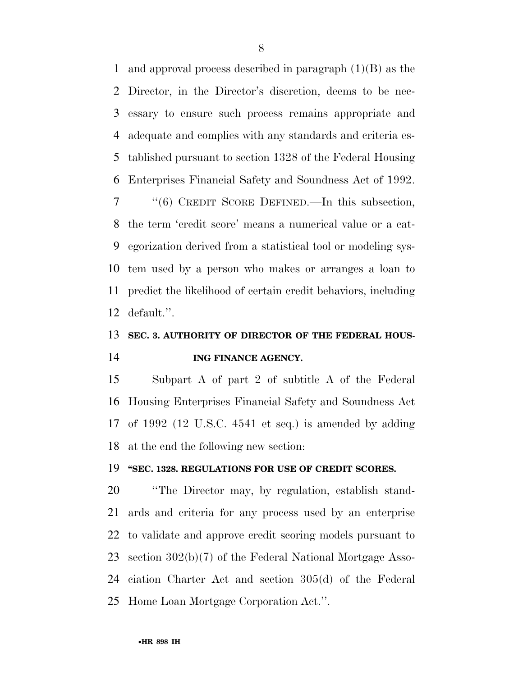and approval process described in paragraph (1)(B) as the Director, in the Director's discretion, deems to be nec- essary to ensure such process remains appropriate and adequate and complies with any standards and criteria es- tablished pursuant to section 1328 of the Federal Housing Enterprises Financial Safety and Soundness Act of 1992. ''(6) CREDIT SCORE DEFINED.—In this subsection, the term 'credit score' means a numerical value or a cat- egorization derived from a statistical tool or modeling sys- tem used by a person who makes or arranges a loan to predict the likelihood of certain credit behaviors, including default.''.

## **SEC. 3. AUTHORITY OF DIRECTOR OF THE FEDERAL HOUS-ING FINANCE AGENCY.**

 Subpart A of part 2 of subtitle A of the Federal Housing Enterprises Financial Safety and Soundness Act of 1992 (12 U.S.C. 4541 et seq.) is amended by adding at the end the following new section:

#### **''SEC. 1328. REGULATIONS FOR USE OF CREDIT SCORES.**

 ''The Director may, by regulation, establish stand- ards and criteria for any process used by an enterprise to validate and approve credit scoring models pursuant to section 302(b)(7) of the Federal National Mortgage Asso- ciation Charter Act and section 305(d) of the Federal Home Loan Mortgage Corporation Act.''.